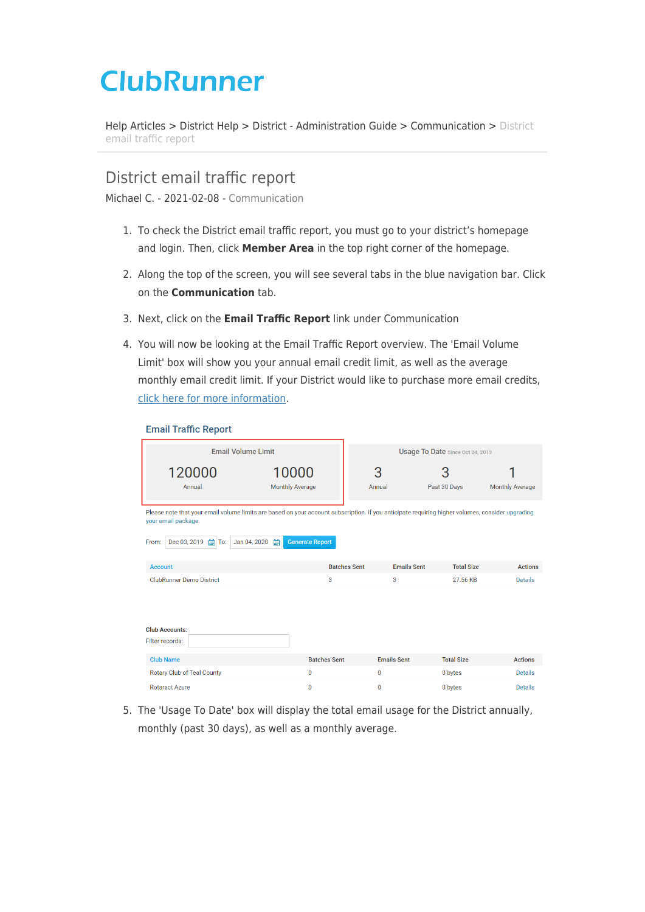# **ClubRunner**

[Help Articles](https://www.clubrunnersupport.com/kb) > [District Help](https://www.clubrunnersupport.com/kb/district-help) > [District - Administration Guide](https://www.clubrunnersupport.com/kb/district-administration-guide) > [Communication](https://www.clubrunnersupport.com/kb/communication-3) > [District](https://www.clubrunnersupport.com/kb/articles/district-email-traffic-report) [email traffic report](https://www.clubrunnersupport.com/kb/articles/district-email-traffic-report)

# District email traffic report

Michael C. - 2021-02-08 - [Communication](https://www.clubrunnersupport.com/kb/communication-3)

- 1. To check the District email traffic report, you must go to your district's homepage and login. Then, click **Member Area** in the top right corner of the homepage.
- 2. Along the top of the screen, you will see several tabs in the blue navigation bar. Click on the **Communication** tab.
- 3. Next, click on the **Email Traffic Report** link under Communication
- 4. You will now be looking at the Email Traffic Report overview. The 'Email Volume Limit' box will show you your annual email credit limit, as well as the average monthly email credit limit. If your District would like to purchase more email credits, [click here for more information.](https://site.clubrunner.ca/9000998/page/email-usage)

#### **Email Traffic Report**

| <b>Email Volume Limit</b>                                                                                                                                                                                                                             |                                 | Usage To Date Since Oct 04, 2019 |                                         |                        |  |  |
|-------------------------------------------------------------------------------------------------------------------------------------------------------------------------------------------------------------------------------------------------------|---------------------------------|----------------------------------|-----------------------------------------|------------------------|--|--|
| 120000<br>Annual                                                                                                                                                                                                                                      | 10000<br><b>Monthly Average</b> | 3<br>Annual                      | З<br>Past 30 Days                       | <b>Monthly Average</b> |  |  |
| Please note that your email volume limits are based on your account subscription. If you anticipate requiring higher volumes, consider upgrading<br>your email package.<br><b>Generate Report</b><br>Dec 03, 2019 图 To:<br>From:<br>Jan 04, 2020<br>倫 |                                 |                                  |                                         |                        |  |  |
| <b>Account</b>                                                                                                                                                                                                                                        |                                 | <b>Batches Sent</b>              | <b>Emails Sent</b><br><b>Total Size</b> | <b>Actions</b>         |  |  |
| <b>ClubRunner Demo District</b>                                                                                                                                                                                                                       | 3                               | 3                                | 27.56 KB                                | <b>Details</b>         |  |  |
| <b>Club Accounts:</b><br>Filter records:                                                                                                                                                                                                              |                                 |                                  |                                         |                        |  |  |
| <b>Club Name</b>                                                                                                                                                                                                                                      | <b>Batches Sent</b>             | <b>Emails Sent</b>               | <b>Total Size</b>                       | <b>Actions</b>         |  |  |
| Rotary Club of Teal County                                                                                                                                                                                                                            | $\overline{0}$                  | $\mathbf 0$                      | 0 bytes                                 | Details                |  |  |
| <b>Rotaract Azure</b>                                                                                                                                                                                                                                 | $\mathbf{0}$                    | $\mathbf 0$                      | 0 bytes                                 | <b>Details</b>         |  |  |

5. The 'Usage To Date' box will display the total email usage for the District annually, monthly (past 30 days), as well as a monthly average.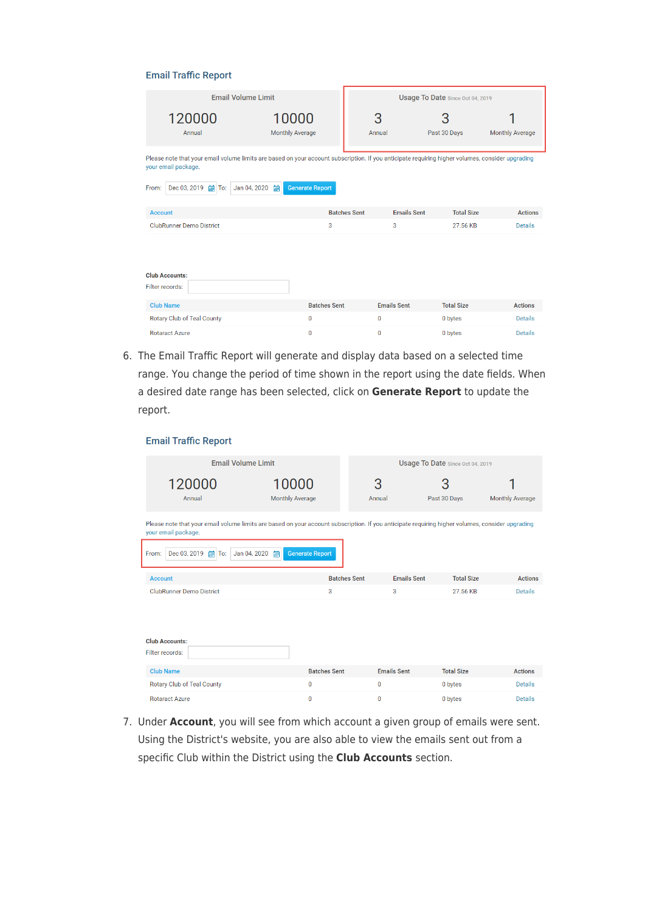#### **Email Traffic Report**

| <b>Email Volume Limit</b>                                                                                                                                                                                                                                     |                        | Usage To Date Since Oct 04, 2019          |                   |                        |  |  |  |
|---------------------------------------------------------------------------------------------------------------------------------------------------------------------------------------------------------------------------------------------------------------|------------------------|-------------------------------------------|-------------------|------------------------|--|--|--|
| 120000                                                                                                                                                                                                                                                        | 10000                  | 3                                         | З                 |                        |  |  |  |
| Annual                                                                                                                                                                                                                                                        | <b>Monthly Average</b> | Annual                                    | Past 30 Days      | <b>Monthly Average</b> |  |  |  |
| Please note that your email volume limits are based on your account subscription. If you anticipate requiring higher volumes, consider upgrading<br>your email package.<br>Dec 03, 2019 <b>in</b> To:<br>Jan 04, 2020<br>倫<br><b>Generate Report</b><br>From: |                        |                                           |                   |                        |  |  |  |
| <b>Account</b>                                                                                                                                                                                                                                                |                        | <b>Emails Sent</b><br><b>Batches Sent</b> | <b>Total Size</b> | <b>Actions</b>         |  |  |  |
| <b>ClubRunner Demo District</b>                                                                                                                                                                                                                               | 3                      | 3                                         | 27.56 KB          | <b>Details</b>         |  |  |  |
| <b>Club Accounts:</b><br>Filter records:                                                                                                                                                                                                                      |                        |                                           |                   |                        |  |  |  |
| <b>Club Name</b>                                                                                                                                                                                                                                              | <b>Batches Sent</b>    | <b>Emails Sent</b>                        | <b>Total Size</b> | <b>Actions</b>         |  |  |  |
| <b>Rotary Club of Teal County</b>                                                                                                                                                                                                                             | $\mathbf{0}$           | 0                                         | 0 bytes           | <b>Details</b>         |  |  |  |
| <b>Rotaract Azure</b>                                                                                                                                                                                                                                         | $\overline{0}$         | $\mathbf 0$                               | 0 bytes           | <b>Details</b>         |  |  |  |

6. The Email Traffic Report will generate and display data based on a selected time range. You change the period of time shown in the report using the date fields. When a desired date range has been selected, click on **Generate Report** to update the report.

# **Email Traffic Report**

| <b>Email Volume Limit</b>                                                                                                                                                                                                                                     | Usage To Date Since Oct 04, 2019 |                                  |                                         |                        |  |  |
|---------------------------------------------------------------------------------------------------------------------------------------------------------------------------------------------------------------------------------------------------------------|----------------------------------|----------------------------------|-----------------------------------------|------------------------|--|--|
| 120000<br>Annual                                                                                                                                                                                                                                              | 10000<br><b>Monthly Average</b>  | 3<br>3<br>Past 30 Days<br>Annual |                                         | <b>Monthly Average</b> |  |  |
| Please note that your email volume limits are based on your account subscription. If you anticipate requiring higher volumes, consider upgrading<br>your email package.<br>Dec 03, 2019 <b>in</b> To:<br>Jan 04, 2020<br>倫<br><b>Generate Report</b><br>From: |                                  |                                  |                                         |                        |  |  |
| <b>Account</b>                                                                                                                                                                                                                                                |                                  | <b>Batches Sent</b>              | <b>Emails Sent</b><br><b>Total Size</b> | <b>Actions</b>         |  |  |
| <b>ClubRunner Demo District</b>                                                                                                                                                                                                                               | 3                                | 3                                | 27.56 KB                                | <b>Details</b>         |  |  |
| <b>Club Accounts:</b><br>Filter records:                                                                                                                                                                                                                      |                                  |                                  |                                         |                        |  |  |
| <b>Club Name</b>                                                                                                                                                                                                                                              | <b>Batches Sent</b>              | <b>Emails Sent</b>               | <b>Total Size</b>                       | <b>Actions</b>         |  |  |
| Rotary Club of Teal County                                                                                                                                                                                                                                    | $\mathbf{0}$                     | 0                                | 0 bytes                                 | <b>Details</b>         |  |  |
| <b>Rotaract Azure</b>                                                                                                                                                                                                                                         | $\mathbf{0}$                     | $\mathbf{0}$                     | 0 bytes                                 | Details                |  |  |

7. Under **Account**, you will see from which account a given group of emails were sent. Using the District's website, you are also able to view the emails sent out from a specific Club within the District using the **Club Accounts** section.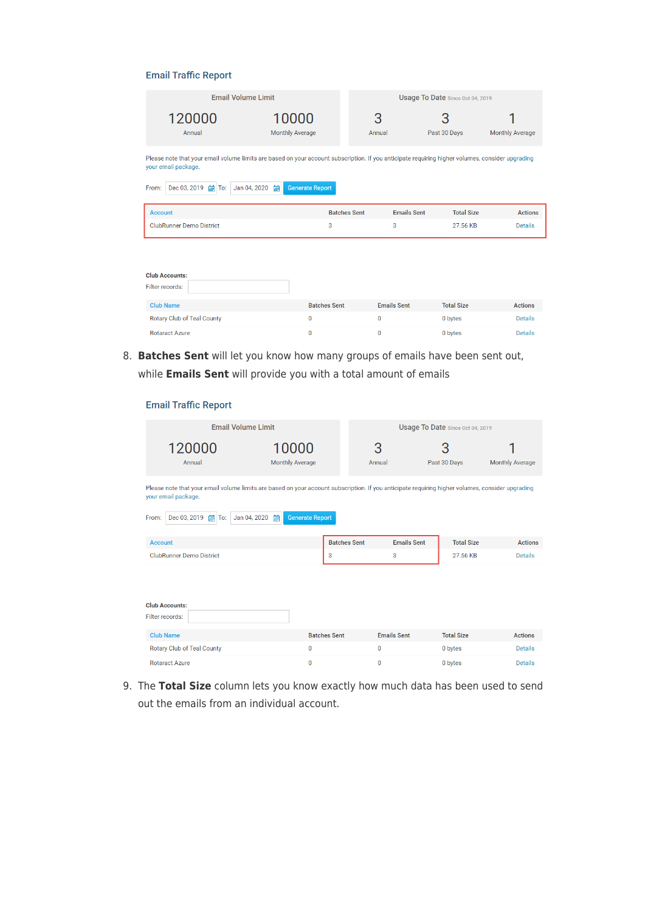# **Email Traffic Report**

| <b>Email Volume Limit</b>                                                                                                                                                                                                                                | Usage To Date Since Oct 04, 2019 |                     |                    |                        |                |  |  |  |
|----------------------------------------------------------------------------------------------------------------------------------------------------------------------------------------------------------------------------------------------------------|----------------------------------|---------------------|--------------------|------------------------|----------------|--|--|--|
| 10000<br>120000<br><b>Monthly Average</b><br>Annual                                                                                                                                                                                                      | З<br>Annual                      |                     | 3<br>Past 30 Days  | <b>Monthly Average</b> |                |  |  |  |
| Please note that your email volume limits are based on your account subscription. If you anticipate requiring higher volumes, consider upgrading<br>your email package.<br>倫<br><b>Generate Report</b><br>From:<br>Dec 03, 2019 单<br>Jan 04, 2020<br>To: |                                  |                     |                    |                        |                |  |  |  |
| <b>Account</b>                                                                                                                                                                                                                                           |                                  | <b>Batches Sent</b> | <b>Emails Sent</b> | <b>Total Size</b>      | <b>Actions</b> |  |  |  |
| <b>ClubRunner Demo District</b>                                                                                                                                                                                                                          | 3                                |                     | 3                  | 27.56 KB               | <b>Details</b> |  |  |  |
| <b>Club Accounts:</b><br>Filter records:                                                                                                                                                                                                                 |                                  |                     |                    |                        |                |  |  |  |

| <b>Club Name</b>           | <b>Batches Sent</b> | <b>Emails Sent</b> | <b>Total Size</b> | <b>Actions</b> |
|----------------------------|---------------------|--------------------|-------------------|----------------|
| Rotary Club of Teal County |                     |                    | 0 bytes           | <b>Details</b> |
| <b>Rotaract Azure</b>      |                     |                    | 0 bytes           | <b>Details</b> |

8. **Batches Sent** will let you know how many groups of emails have been sent out, while **Emails Sent** will provide you with a total amount of emails

# **Email Traffic Report**

| <b>Email Volume Limit</b>                                                                                                                                                                                                                                  |                                 | Usage To Date Since Oct 04, 2019 |                                         |                        |  |  |  |
|------------------------------------------------------------------------------------------------------------------------------------------------------------------------------------------------------------------------------------------------------------|---------------------------------|----------------------------------|-----------------------------------------|------------------------|--|--|--|
| 120000<br>Annual                                                                                                                                                                                                                                           | 10000<br><b>Monthly Average</b> | 3<br>Annual                      | З<br>Past 30 Days                       | <b>Monthly Average</b> |  |  |  |
| Please note that your email volume limits are based on your account subscription. If you anticipate requiring higher volumes, consider upgrading<br>your email package.<br><b>Generate Report</b><br>Dec 03, 2019 <b>in</b> To:<br>Jan 04, 2020 的<br>From: |                                 |                                  |                                         |                        |  |  |  |
| <b>Account</b>                                                                                                                                                                                                                                             |                                 | <b>Batches Sent</b>              | <b>Emails Sent</b><br><b>Total Size</b> | <b>Actions</b>         |  |  |  |
| <b>ClubRunner Demo District</b>                                                                                                                                                                                                                            | 3                               | 3                                | 27.56 KB                                | <b>Details</b>         |  |  |  |
| <b>Club Accounts:</b><br>Filter records:                                                                                                                                                                                                                   |                                 |                                  |                                         |                        |  |  |  |
| <b>Club Name</b>                                                                                                                                                                                                                                           | <b>Batches Sent</b>             | <b>Emails Sent</b>               | <b>Total Size</b>                       | <b>Actions</b>         |  |  |  |
| Rotary Club of Teal County                                                                                                                                                                                                                                 | $\Omega$                        | 0                                | 0 bytes                                 | Details                |  |  |  |
| <b>Rotaract Azure</b>                                                                                                                                                                                                                                      | $\mathbf{0}$                    | $\mathbf 0$                      | 0 bytes                                 | <b>Details</b>         |  |  |  |

9. The **Total Size** column lets you know exactly how much data has been used to send out the emails from an individual account.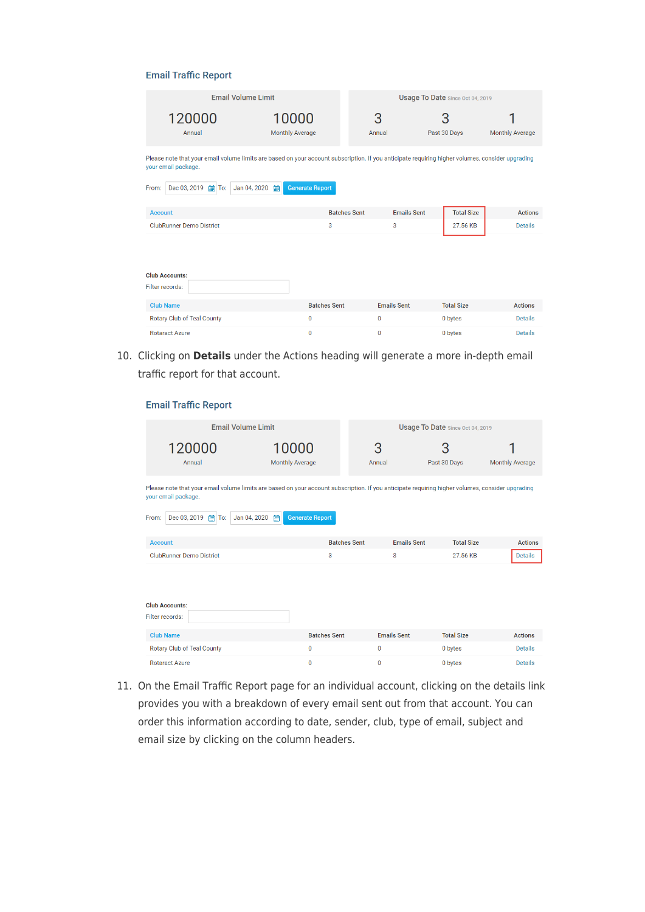#### **Email Traffic Report**

| <b>Email Volume Limit</b>                                                                                                                                                                                                                                     |                                 | Usage To Date Since Oct 04, 2019          |                   |                        |  |  |  |
|---------------------------------------------------------------------------------------------------------------------------------------------------------------------------------------------------------------------------------------------------------------|---------------------------------|-------------------------------------------|-------------------|------------------------|--|--|--|
| 120000<br>Annual                                                                                                                                                                                                                                              | 10000<br><b>Monthly Average</b> | 3<br>Annual                               | З<br>Past 30 Days | <b>Monthly Average</b> |  |  |  |
| Please note that your email volume limits are based on your account subscription. If you anticipate requiring higher volumes, consider upgrading<br>your email package.<br>Dec 03, 2019 <b>in</b> To:<br>Jan 04, 2020<br>冊<br>From:<br><b>Generate Report</b> |                                 |                                           |                   |                        |  |  |  |
| <b>Account</b>                                                                                                                                                                                                                                                |                                 | <b>Emails Sent</b><br><b>Batches Sent</b> | <b>Total Size</b> | <b>Actions</b>         |  |  |  |
| <b>ClubRunner Demo District</b>                                                                                                                                                                                                                               | 3                               | 3                                         | 27.56 KB          | <b>Details</b>         |  |  |  |
| <b>Club Accounts:</b><br>Filter records:                                                                                                                                                                                                                      |                                 |                                           |                   |                        |  |  |  |
| <b>Club Name</b>                                                                                                                                                                                                                                              | <b>Batches Sent</b>             | <b>Emails Sent</b>                        | <b>Total Size</b> | <b>Actions</b>         |  |  |  |
| Rotary Club of Teal County                                                                                                                                                                                                                                    | $\mathbf 0$                     | 0                                         | 0 bytes           | <b>Details</b>         |  |  |  |
| <b>Rotaract Azure</b>                                                                                                                                                                                                                                         | $\Omega$                        | $\mathbf{0}$                              | 0 bytes           | Details                |  |  |  |

10. Clicking on **Details** under the Actions heading will generate a more in-depth email traffic report for that account.

# **Email Traffic Report**

| <b>Email Volume Limit</b>                                                                                                                                                                                                                             |                                 | Usage To Date Since Oct 04, 2019               |                               |                                  |  |  |
|-------------------------------------------------------------------------------------------------------------------------------------------------------------------------------------------------------------------------------------------------------|---------------------------------|------------------------------------------------|-------------------------------|----------------------------------|--|--|
| 120000<br>Annual                                                                                                                                                                                                                                      | 10000<br><b>Monthly Average</b> | 3<br>Annual                                    | З<br>Past 30 Days             | <b>Monthly Average</b>           |  |  |
| Please note that your email volume limits are based on your account subscription. If you anticipate requiring higher volumes, consider upgrading<br>your email package.<br>Dec 03, 2019 图 To:<br>Jan 04, 2020<br>冊<br><b>Generate Report</b><br>From: |                                 |                                                |                               |                                  |  |  |
| <b>Account</b><br><b>ClubRunner Demo District</b>                                                                                                                                                                                                     | 3                               | <b>Batches Sent</b><br><b>Emails Sent</b><br>3 | <b>Total Size</b><br>27.56 KB | <b>Actions</b><br><b>Details</b> |  |  |
| <b>Club Accounts:</b><br>Filter records:                                                                                                                                                                                                              |                                 |                                                |                               |                                  |  |  |
| <b>Club Name</b>                                                                                                                                                                                                                                      | <b>Batches Sent</b>             | <b>Emails Sent</b>                             | <b>Total Size</b>             | <b>Actions</b>                   |  |  |
| <b>Rotary Club of Teal County</b>                                                                                                                                                                                                                     | 0                               | 0                                              | 0 bytes                       | <b>Details</b>                   |  |  |
| Rotaract Azure                                                                                                                                                                                                                                        | $\Omega$                        | 0                                              | 0 bytes                       | <b>Details</b>                   |  |  |

11. On the Email Traffic Report page for an individual account, clicking on the details link provides you with a breakdown of every email sent out from that account. You can order this information according to date, sender, club, type of email, subject and email size by clicking on the column headers.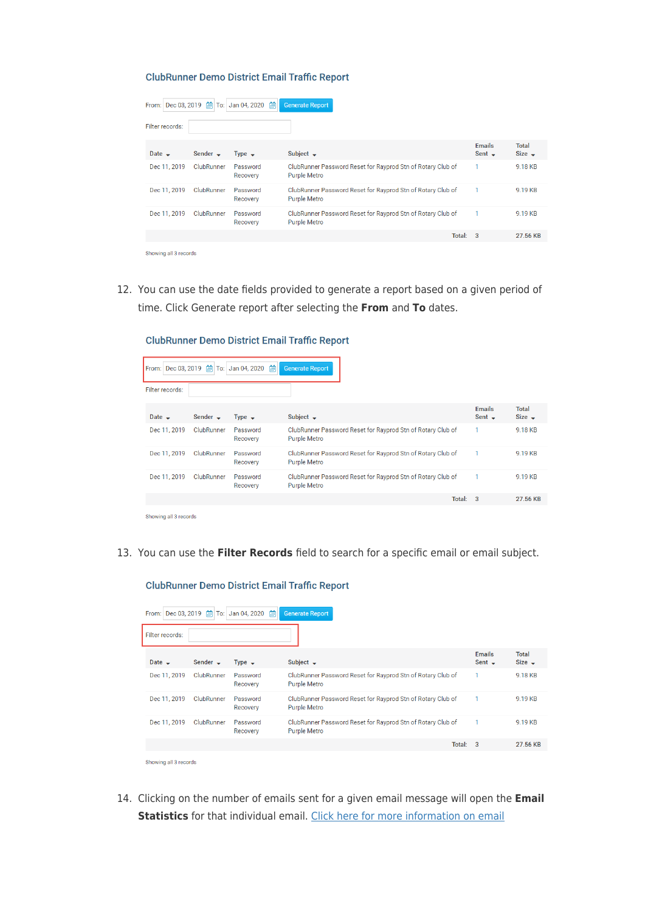#### **ClubRunner Demo District Email Traffic Report**

| From: Dec 03, 2019    | 圇             | 圇<br>To: Jan 04, 2020 | <b>Generate Report</b>                                                             |                              |                      |
|-----------------------|---------------|-----------------------|------------------------------------------------------------------------------------|------------------------------|----------------------|
| Filter records:       |               |                       |                                                                                    |                              |                      |
| Date $\rightarrow$    | Sender $\sim$ | Type $\rightarrow$    | Subject $\rightarrow$                                                              | <b>Emails</b><br>Sent $\div$ | Total<br>Size $\sim$ |
| Dec 11, 2019          | ClubRunner    | Password<br>Recovery  | ClubRunner Password Reset for Rayprod Stn of Rotary Club of<br><b>Purple Metro</b> | 1                            | 9.18 KB              |
| Dec 11, 2019          | ClubRunner    | Password<br>Recovery  | ClubRunner Password Reset for Rayprod Stn of Rotary Club of<br><b>Purple Metro</b> |                              | 9.19 KB              |
| Dec 11, 2019          | ClubRunner    | Password<br>Recovery  | ClubRunner Password Reset for Rayprod Stn of Rotary Club of<br><b>Purple Metro</b> |                              | 9.19 KB              |
|                       |               |                       | Total: 3                                                                           |                              | 27.56 KB             |
| Showing all 3 records |               |                       |                                                                                    |                              |                      |

12. You can use the date fields provided to generate a report based on a given period of time. Click Generate report after selecting the **From** and **To** dates.

**ClubRunner Demo District Email Traffic Report** 

| Dec 03, 2019 单<br>From: | To:           | Jan 04, 2020 单       | <b>Generate Report</b>                                                             |          |                              |                             |
|-------------------------|---------------|----------------------|------------------------------------------------------------------------------------|----------|------------------------------|-----------------------------|
| Filter records:         |               |                      |                                                                                    |          |                              |                             |
| Date $\rightarrow$      | Sender $\sim$ | Type $\rightarrow$   | Subject $\rightarrow$                                                              |          | <b>Emails</b><br>Sent $\sim$ | <b>Total</b><br>Size $\div$ |
| Dec 11, 2019            | ClubRunner    | Password<br>Recovery | ClubRunner Password Reset for Rayprod Stn of Rotary Club of<br><b>Purple Metro</b> |          | 1                            | 9.18 KB                     |
| Dec 11, 2019            | ClubRunner    | Password<br>Recovery | ClubRunner Password Reset for Rayprod Stn of Rotary Club of<br><b>Purple Metro</b> |          | 1                            | 9.19 KB                     |
| Dec 11, 2019            | ClubRunner    | Password<br>Recovery | ClubRunner Password Reset for Rayprod Stn of Rotary Club of<br><b>Purple Metro</b> |          |                              | 9.19 KB                     |
|                         |               |                      |                                                                                    | Total: 3 |                              | 27.56 KB                    |
| Showing all 3 records   |               |                      |                                                                                    |          |                              |                             |

13. You can use the **Filter Records** field to search for a specific email or email subject.

| From:                 | Dec 03, 2019 单<br>To: | 圇<br>Jan 04, 2020    | <b>Generate Report</b>                                                             |                              |                             |
|-----------------------|-----------------------|----------------------|------------------------------------------------------------------------------------|------------------------------|-----------------------------|
| Filter records:       |                       |                      |                                                                                    |                              |                             |
| Date $\rightarrow$    | Sender $\sim$         | Type $\rightarrow$   | Subject $\rightarrow$                                                              | <b>Emails</b><br>Sent $\sim$ | <b>Total</b><br>Size $\sim$ |
| Dec 11, 2019          | ClubRunner            | Password<br>Recovery | ClubRunner Password Reset for Rayprod Stn of Rotary Club of<br><b>Purple Metro</b> |                              | 9.18 KB                     |
| Dec 11, 2019          | ClubRunner            | Password<br>Recovery | ClubRunner Password Reset for Rayprod Stn of Rotary Club of<br><b>Purple Metro</b> |                              | 9.19 KB                     |
| Dec 11, 2019          | <b>ClubRunner</b>     | Password<br>Recovery | ClubRunner Password Reset for Rayprod Stn of Rotary Club of<br><b>Purple Metro</b> |                              | 9.19 KB                     |
|                       |                       |                      |                                                                                    | Total: 3                     | 27.56 KB                    |
| Showing all 3 records |                       |                      |                                                                                    |                              |                             |

**ClubRunner Demo District Email Traffic Report** 

14. Clicking on the number of emails sent for a given email message will open the **Email Statistics** for that individual email. [Click here for more information on email](https://clubrunnersupport.com/kb/articles/how-do-i-view-my-email-stats)